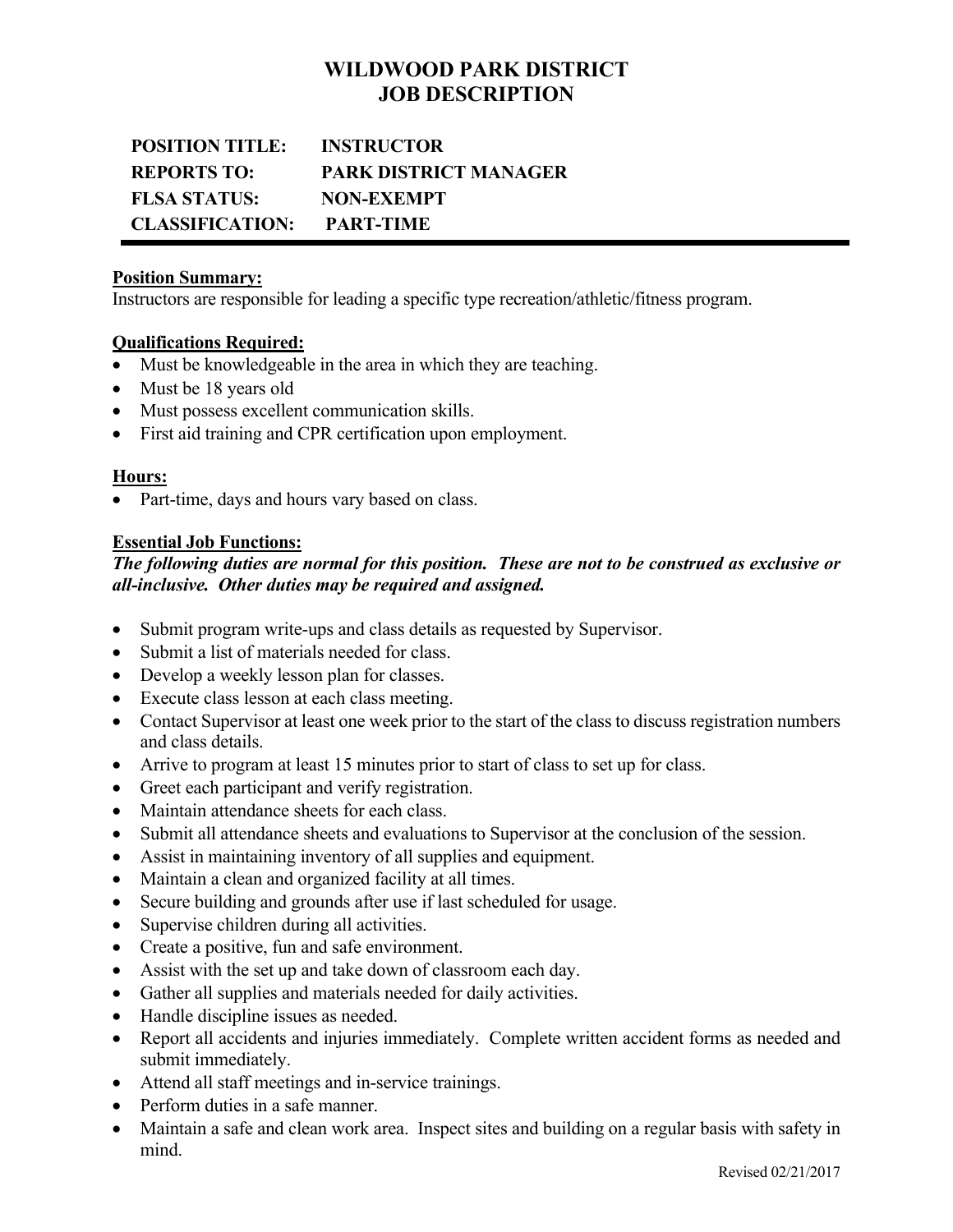## **WILDWOOD PARK DISTRICT JOB DESCRIPTION**

# **POSITION TITLE: INSTRUCTOR REPORTS TO: PARK DISTRICT MANAGER FLSA STATUS: NON-EXEMPT CLASSIFICATION: PART-TIME**

### **Position Summary:**

Instructors are responsible for leading a specific type recreation/athletic/fitness program.

## **Qualifications Required:**

- Must be knowledgeable in the area in which they are teaching.
- Must be 18 years old
- Must possess excellent communication skills.
- First aid training and CPR certification upon employment.

## **Hours:**

Part-time, days and hours vary based on class.

## **Essential Job Functions:**

## *The following duties are normal for this position. These are not to be construed as exclusive or all-inclusive. Other duties may be required and assigned.*

- Submit program write-ups and class details as requested by Supervisor.
- Submit a list of materials needed for class.
- Develop a weekly lesson plan for classes.
- Execute class lesson at each class meeting.
- Contact Supervisor at least one week prior to the start of the class to discuss registration numbers and class details.
- Arrive to program at least 15 minutes prior to start of class to set up for class.
- Greet each participant and verify registration.
- Maintain attendance sheets for each class.
- Submit all attendance sheets and evaluations to Supervisor at the conclusion of the session.
- Assist in maintaining inventory of all supplies and equipment.
- Maintain a clean and organized facility at all times.
- Secure building and grounds after use if last scheduled for usage.
- Supervise children during all activities.
- Create a positive, fun and safe environment.
- Assist with the set up and take down of classroom each day.
- Gather all supplies and materials needed for daily activities.
- Handle discipline issues as needed.
- Report all accidents and injuries immediately. Complete written accident forms as needed and submit immediately.
- Attend all staff meetings and in-service trainings.
- Perform duties in a safe manner.
- Maintain a safe and clean work area. Inspect sites and building on a regular basis with safety in mind.